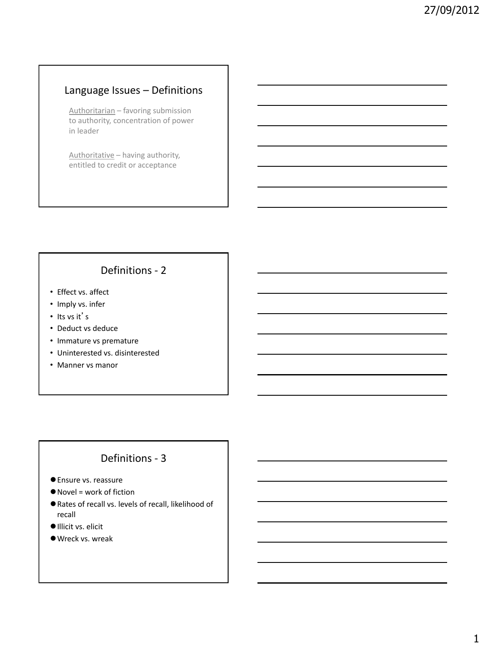## Language Issues – Definitions

Authoritarian – favoring submission to authority, concentration of power in leader

Authoritative – having authority, entitled to credit or acceptance

# Definitions - 2

- Effect vs. affect
- Imply vs. infer
- Its vs it's
- Deduct vs deduce
- Immature vs premature
- Uninterested vs. disinterested
- Manner vs manor

## Definitions - 3

- Ensure vs. reassure
- Novel = work of fiction
- Rates of recall vs. levels of recall, likelihood of recall
- Illicit vs. elicit
- Wreck vs. wreak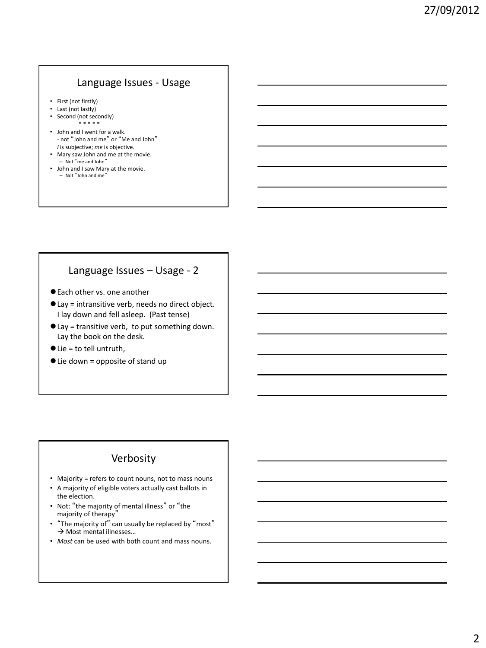## Language Issues - Usage

- First (not firstly)
- Last (not lastly)
- Second (not secondly) \* \* \* \* \*
- John and I went for a walk. - not "John and me" or "Me and John" *I* is subjective; *me* is objective.
- Mary saw John and me at the movie. – Not "me and John"
- John and I saw Mary at the movie. – Not "John and me"

### Language Issues – Usage - 2

- Each other vs. one another
- Lay = intransitive verb, needs no direct object. I lay down and fell asleep. (Past tense)
- Lay = transitive verb, to put something down. Lay the book on the desk.
- Lie = to tell untruth,
- Lie down = opposite of stand up

### Verbosity

- Majority = refers to count nouns, not to mass nouns
- A majority of eligible voters actually cast ballots in the election.
- Not: "the majority of mental illness" or "the majority of therapy"
- "The majority of" can usually be replaced by "most"  $\rightarrow$  Most mental illnesses...
- *Most* can be used with both count and mass nouns.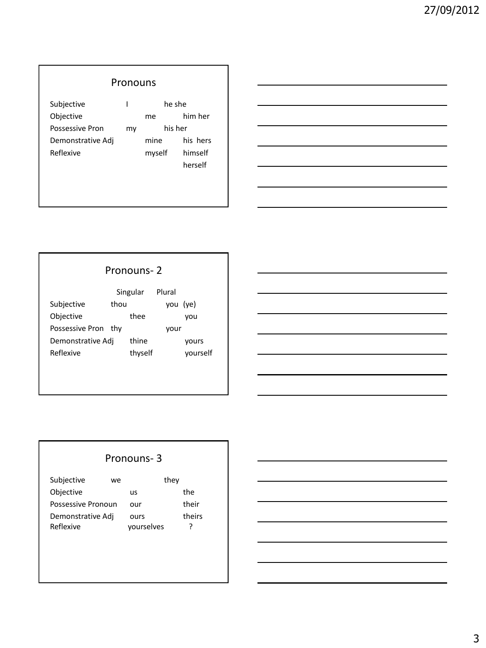# Pronouns

| Subjective             |    | he she  |          |  |
|------------------------|----|---------|----------|--|
| Objective              |    | me      | him her  |  |
| <b>Possessive Pron</b> | my | his her |          |  |
| Demonstrative Adj      |    | mine    | his hers |  |
| Reflexive              |    | myself  | himself  |  |
|                        |    |         | herself  |  |

# Pronouns- 2

|                   | Singular |         | Plural |          |
|-------------------|----------|---------|--------|----------|
| Subjective        | thou     |         |        | you (ye) |
| Objective         |          | thee    |        | vou      |
| Possessive Pron   | thv      |         | vour   |          |
| Demonstrative Adj |          | thine   |        | yours    |
| Reflexive         |          | thyself |        | vourself |

## Pronouns- 3

| Subjective                     | we |                    | they |             |
|--------------------------------|----|--------------------|------|-------------|
| Objective                      |    | us                 |      | the         |
| Possessive Pronoun             |    | our                |      | their       |
| Demonstrative Adj<br>Reflexive |    | ours<br>vourselves |      | theirs<br>? |

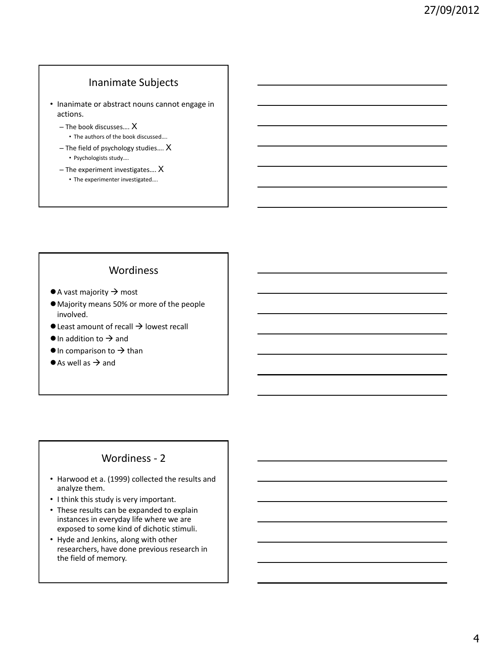## Inanimate Subjects

• Inanimate or abstract nouns cannot engage in actions.

- The book discusses…. X • The authors of the book discussed….
- The field of psychology studies…. X • Psychologists study….
- The experiment investigates…. X
	- The experimenter investigated….

#### Wordiness

- $\bullet$  A vast majority  $\rightarrow$  most
- Majority means 50% or more of the people involved.
- $\bullet$  Least amount of recall  $\rightarrow$  lowest recall
- $\bullet$  In addition to  $\rightarrow$  and
- $\bullet$  In comparison to  $\rightarrow$  than
- $\bullet$  As well as  $\rightarrow$  and

### Wordiness - 2

- Harwood et a. (1999) collected the results and analyze them.
- I think this study is very important.
- These results can be expanded to explain instances in everyday life where we are exposed to some kind of dichotic stimuli.
- Hyde and Jenkins, along with other researchers, have done previous research in the field of memory.